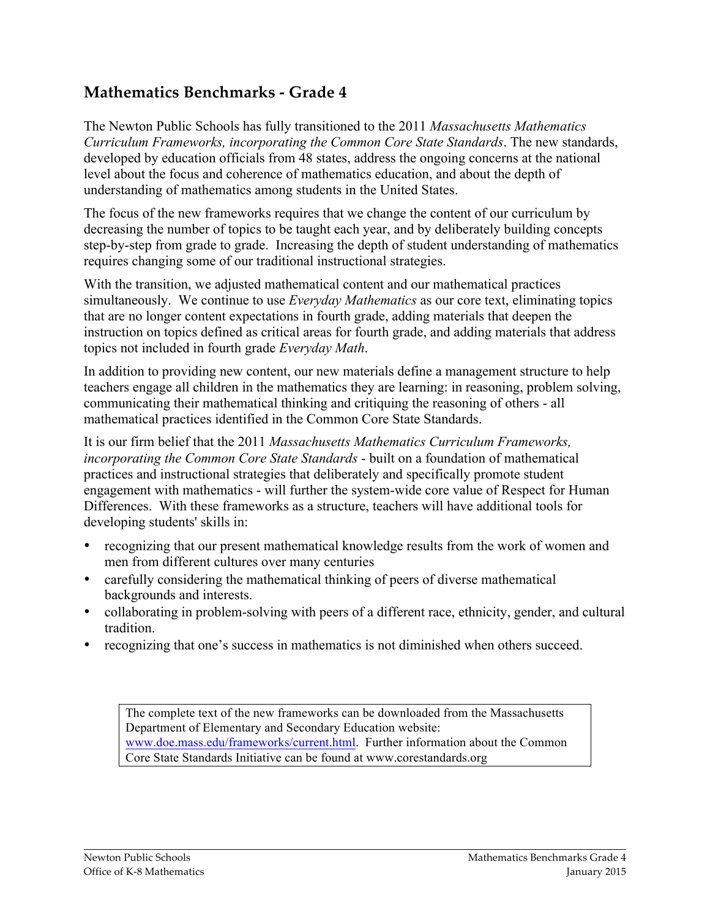# **Mathematics Benchmarks - Grade 4**

The Newton Public Schools has fully transitioned to the 2011 *Massachusetts Mathematics Curriculum Frameworks, incorporating the Common Core State Standards*. The new standards, developed by education officials from 48 states, address the ongoing concerns at the national level about the focus and coherence of mathematics education, and about the depth of understanding of mathematics among students in the United States.

The focus of the new frameworks requires that we change the content of our curriculum by decreasing the number of topics to be taught each year, and by deliberately building concepts step-by-step from grade to grade. Increasing the depth of student understanding of mathematics requires changing some of our traditional instructional strategies.

With the transition, we adjusted mathematical content and our mathematical practices simultaneously. We continue to use *Everyday Mathematics* as our core text, eliminating topics that are no longer content expectations in fourth grade, adding materials that deepen the instruction on topics defined as critical areas for fourth grade, and adding materials that address topics not included in fourth grade *Everyday Math*.

In addition to providing new content, our new materials define a management structure to help teachers engage all children in the mathematics they are learning: in reasoning, problem solving, communicating their mathematical thinking and critiquing the reasoning of others - all mathematical practices identified in the Common Core State Standards.

It is our firm belief that the 2011 *Massachusetts Mathematics Curriculum Frameworks, incorporating the Common Core State Standards* - built on a foundation of mathematical practices and instructional strategies that deliberately and specifically promote student engagement with mathematics - will further the system-wide core value of Respect for Human Differences. With these frameworks as a structure, teachers will have additional tools for developing students' skills in:

- recognizing that our present mathematical knowledge results from the work of women and men from different cultures over many centuries
- carefully considering the mathematical thinking of peers of diverse mathematical backgrounds and interests.
- collaborating in problem-solving with peers of a different race, ethnicity, gender, and cultural tradition.
- recognizing that one's success in mathematics is not diminished when others succeed.

The complete text of the new frameworks can be downloaded from the Massachusetts Department of Elementary and Secondary Education website: www.doe.mass.edu/frameworks/current.html. Further information about the Common Core State Standards Initiative can be found at www.corestandards.org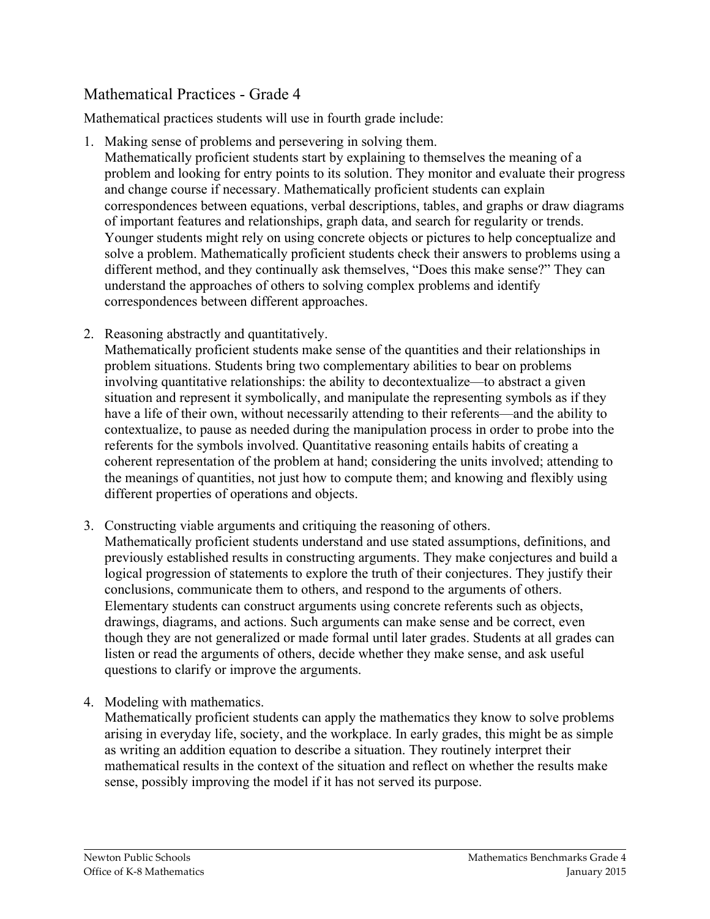# Mathematical Practices - Grade 4

Mathematical practices students will use in fourth grade include:

1. Making sense of problems and persevering in solving them.

Mathematically proficient students start by explaining to themselves the meaning of a problem and looking for entry points to its solution. They monitor and evaluate their progress and change course if necessary. Mathematically proficient students can explain correspondences between equations, verbal descriptions, tables, and graphs or draw diagrams of important features and relationships, graph data, and search for regularity or trends. Younger students might rely on using concrete objects or pictures to help conceptualize and solve a problem. Mathematically proficient students check their answers to problems using a different method, and they continually ask themselves, "Does this make sense?" They can understand the approaches of others to solving complex problems and identify correspondences between different approaches.

2. Reasoning abstractly and quantitatively.

Mathematically proficient students make sense of the quantities and their relationships in problem situations. Students bring two complementary abilities to bear on problems involving quantitative relationships: the ability to decontextualize—to abstract a given situation and represent it symbolically, and manipulate the representing symbols as if they have a life of their own, without necessarily attending to their referents—and the ability to contextualize, to pause as needed during the manipulation process in order to probe into the referents for the symbols involved. Quantitative reasoning entails habits of creating a coherent representation of the problem at hand; considering the units involved; attending to the meanings of quantities, not just how to compute them; and knowing and flexibly using different properties of operations and objects.

- 3. Constructing viable arguments and critiquing the reasoning of others. Mathematically proficient students understand and use stated assumptions, definitions, and previously established results in constructing arguments. They make conjectures and build a logical progression of statements to explore the truth of their conjectures. They justify their conclusions, communicate them to others, and respond to the arguments of others. Elementary students can construct arguments using concrete referents such as objects, drawings, diagrams, and actions. Such arguments can make sense and be correct, even though they are not generalized or made formal until later grades. Students at all grades can listen or read the arguments of others, decide whether they make sense, and ask useful questions to clarify or improve the arguments.
- 4. Modeling with mathematics.

Mathematically proficient students can apply the mathematics they know to solve problems arising in everyday life, society, and the workplace. In early grades, this might be as simple as writing an addition equation to describe a situation. They routinely interpret their mathematical results in the context of the situation and reflect on whether the results make sense, possibly improving the model if it has not served its purpose.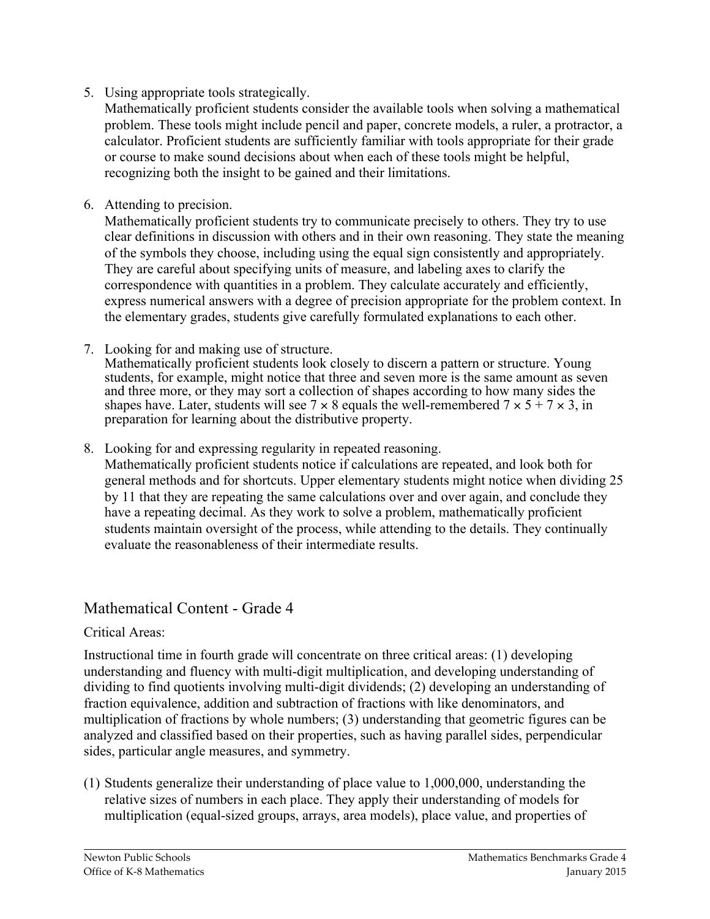5. Using appropriate tools strategically.

Mathematically proficient students consider the available tools when solving a mathematical problem. These tools might include pencil and paper, concrete models, a ruler, a protractor, a calculator. Proficient students are sufficiently familiar with tools appropriate for their grade or course to make sound decisions about when each of these tools might be helpful, recognizing both the insight to be gained and their limitations.

6. Attending to precision.

Mathematically proficient students try to communicate precisely to others. They try to use clear definitions in discussion with others and in their own reasoning. They state the meaning of the symbols they choose, including using the equal sign consistently and appropriately. They are careful about specifying units of measure, and labeling axes to clarify the correspondence with quantities in a problem. They calculate accurately and efficiently, express numerical answers with a degree of precision appropriate for the problem context. In the elementary grades, students give carefully formulated explanations to each other.

7. Looking for and making use of structure.

Mathematically proficient students look closely to discern a pattern or structure. Young students, for example, might notice that three and seven more is the same amount as seven and three more, or they may sort a collection of shapes according to how many sides the shapes have. Later, students will see  $7 \times 8$  equals the well-remembered  $7 \times 5 + 7 \times 3$ , in preparation for learning about the distributive property.

8. Looking for and expressing regularity in repeated reasoning.

Mathematically proficient students notice if calculations are repeated, and look both for general methods and for shortcuts. Upper elementary students might notice when dividing 25 by 11 that they are repeating the same calculations over and over again, and conclude they have a repeating decimal. As they work to solve a problem, mathematically proficient students maintain oversight of the process, while attending to the details. They continually evaluate the reasonableness of their intermediate results.

## Mathematical Content - Grade 4

## Critical Areas:

Instructional time in fourth grade will concentrate on three critical areas: (1) developing understanding and fluency with multi-digit multiplication, and developing understanding of dividing to find quotients involving multi-digit dividends; (2) developing an understanding of fraction equivalence, addition and subtraction of fractions with like denominators, and multiplication of fractions by whole numbers; (3) understanding that geometric figures can be analyzed and classified based on their properties, such as having parallel sides, perpendicular sides, particular angle measures, and symmetry.

(1) Students generalize their understanding of place value to 1,000,000, understanding the relative sizes of numbers in each place. They apply their understanding of models for multiplication (equal-sized groups, arrays, area models), place value, and properties of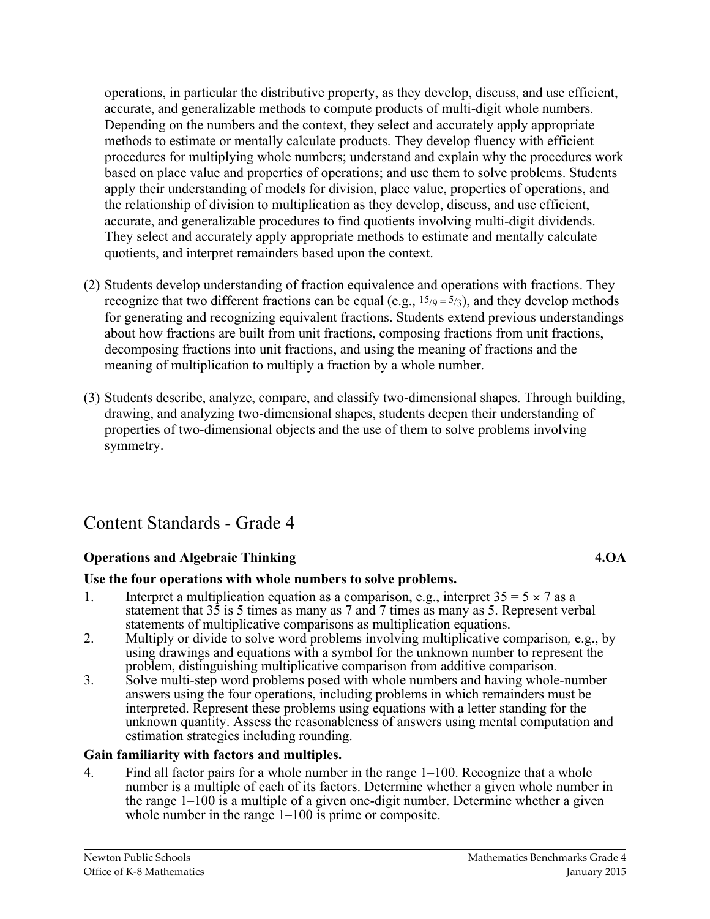operations, in particular the distributive property, as they develop, discuss, and use efficient, accurate, and generalizable methods to compute products of multi-digit whole numbers. Depending on the numbers and the context, they select and accurately apply appropriate methods to estimate or mentally calculate products. They develop fluency with efficient procedures for multiplying whole numbers; understand and explain why the procedures work based on place value and properties of operations; and use them to solve problems. Students apply their understanding of models for division, place value, properties of operations, and the relationship of division to multiplication as they develop, discuss, and use efficient, accurate, and generalizable procedures to find quotients involving multi-digit dividends. They select and accurately apply appropriate methods to estimate and mentally calculate quotients, and interpret remainders based upon the context.

- (2) Students develop understanding of fraction equivalence and operations with fractions. They recognize that two different fractions can be equal (e.g.,  $15/9 = 5/3$ ), and they develop methods for generating and recognizing equivalent fractions. Students extend previous understandings about how fractions are built from unit fractions, composing fractions from unit fractions, decomposing fractions into unit fractions, and using the meaning of fractions and the meaning of multiplication to multiply a fraction by a whole number.
- (3) Students describe, analyze, compare, and classify two-dimensional shapes. Through building, drawing, and analyzing two-dimensional shapes, students deepen their understanding of properties of two-dimensional objects and the use of them to solve problems involving symmetry.

# Content Standards - Grade 4

## **Operations and Algebraic Thinking 4.OA**

## **Use the four operations with whole numbers to solve problems.**

- 1. Interpret a multiplication equation as a comparison, e.g., interpret  $35 = 5 \times 7$  as a statement that 35 is 5 times as many as 7 and 7 times as many as 5. Represent verbal statements of multiplicative comparisons as multiplication equations.
- 2. Multiply or divide to solve word problems involving multiplicative comparison*,* e.g., by using drawings and equations with a symbol for the unknown number to represent the problem, distinguishing multiplicative comparison from additive comparison.
- problem, distinguishing multiplicative comparison from additive comparison*.* 3. Solve multi-step word problems posed with whole numbers and having whole-number answers using the four operations, including problems in which remainders must be interpreted. Represent these problems using equations with a letter standing for the unknown quantity. Assess the reasonableness of answers using mental computation and estimation strategies including rounding.

## **Gain familiarity with factors and multiples.**

4. Find all factor pairs for a whole number in the range 1–100. Recognize that a whole number is a multiple of each of its factors. Determine whether a given whole number in the range 1–100 is a multiple of a given one-digit number. Determine whether a given whole number in the range 1–100 is prime or composite.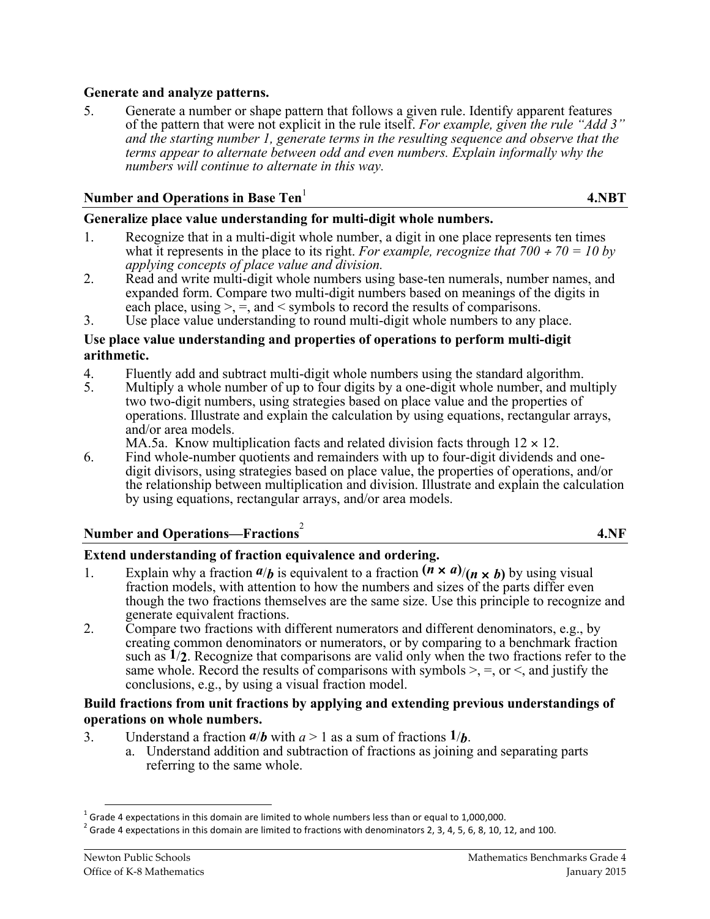#### **Generate and analyze patterns.**

5. Generate a number or shape pattern that follows a given rule. Identify apparent features of the pattern that were not explicit in the rule itself. *For example, given the rule "Add 3" and the starting number 1, generate terms in the resulting sequence and observe that the terms appear to alternate between odd and even numbers. Explain informally why the numbers will continue to alternate in this way.*

#### **Number and Operations in Base Ten**<sup>1</sup>

 **4.NBT**

#### **Generalize place value understanding for multi-digit whole numbers.**

- 1. Recognize that in a multi-digit whole number, a digit in one place represents ten times what it represents in the place to its right. *For example, recognize that*  $700 \div 70 = 10$  by *applying concepts of place value and division.*
- 2. Read and write multi-digit whole numbers using base-ten numerals, number names, and expanded form. Compare two multi-digit numbers based on meanings of the digits in each place, using  $\geq$ ,  $\equiv$ , and  $\leq$  symbols to record the results of comparisons.
- 3. Use place value understanding to round multi-digit whole numbers to any place.

#### **Use place value understanding and properties of operations to perform multi-digit arithmetic.**

- 4. Fluently add and subtract multi-digit whole numbers using the standard algorithm.
- 5. Multiply a whole number of up to four digits by a one-digit whole number, and multiply two two-digit numbers, using strategies based on place value and the properties of operations. Illustrate and explain the calculation by using equations, rectangular arrays, and/or area models.
	- MA.5a. Know multiplication facts and related division facts through  $12 \times 12$ .
- 6. Find whole-number quotients and remainders with up to four-digit dividends and onedigit divisors, using strategies based on place value, the properties of operations, and/or the relationship between multiplication and division. Illustrate and explain the calculation by using equations, rectangular arrays, and/or area models.

# **Number and Operations—Fractions** 2

**4.NF**

#### **Extend understanding of fraction equivalence and ordering.**

- 1. Explain why a fraction  $a/b$  is equivalent to a fraction  $(\mathbf{r} \times \mathbf{a})/(n \times \mathbf{b})$  by using visual fraction models, with attention to how the numbers and sizes of the parts differ even though the two fractions themselves are the same size. Use this principle to recognize and generate equivalent fractions.
- 2. Compare two fractions with different numerators and different denominators, e.g., by creating common denominators or numerators, or by comparing to a benchmark fraction such as **1**/**2**. Recognize that comparisons are valid only when the two fractions refer to the same whole. Record the results of comparisons with symbols  $\geq$ ,  $\equiv$ , or  $\leq$ , and justify the conclusions, e.g., by using a visual fraction model.

#### **Build fractions from unit fractions by applying and extending previous understandings of operations on whole numbers.**

- 
- 3. Understand a fraction  $a/b$  with  $a > 1$  as a sum of fractions  $1/b$ .<br>a. Understand addition and subtraction of fractions as joining and separating parts referring to the same whole.

<sup>&</sup>lt;sup>1</sup> Grade 4 expectations in this domain are limited to whole numbers less than or equal to 1,000,000. 2 Grade 4 expectations in this domain are limited to fractions with denominators 2, 3, 4, 5, 6, 8, 10, 12, and 100.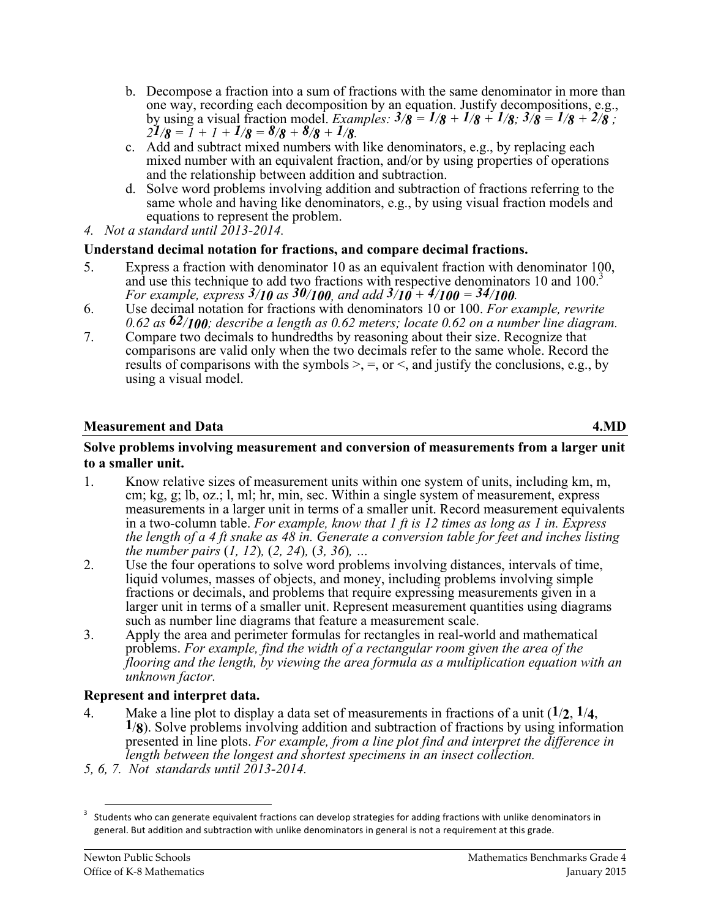- b. Decompose a fraction into a sum of fractions with the same denominator in more than one way, recording each decomposition by an equation. Justify decompositions, e.g., by using a visual fraction model. Examples:  $3/8 = 1/8 + 1/8 + 1/8$ ;  $3/8 = 1/8 + 2/8$ ;  $21/8 = 1 + 1 + 1/8 = 8/8 + 8/8 + 1/8$ .
- c. Add and subtract mixed numbers with like denominators, e.g., by replacing each mixed number with an equivalent fraction, and/or by using properties of operations and the relationship between addition and subtraction.
- d. Solve word problems involving addition and subtraction of fractions referring to the same whole and having like denominators, e.g., by using visual fraction models and equations to represent the problem.
- *4. Not a standard until 2013-2014.*

## **Understand decimal notation for fractions, and compare decimal fractions.**

- 5. Express a fraction with denominator 10 as an equivalent fraction with denominator 100, and use this technique to add two fractions with respective denominators 10 and 100.<sup>3</sup> *For example, express 3/10 as 30/100, and add 3/10 + 4/100 = 34/100.*
- 6. Use decimal notation for fractions with denominators 10 or 100. *For example, rewrite 0.62 as 62/100; describe a length as 0.62 meters; locate 0.62 on a number line diagram.*
- 7. Compare two decimals to hundredths by reasoning about their size. Recognize that comparisons are valid only when the two decimals refer to the same whole. Record the results of comparisons with the symbols  $\geq$ ,  $\equiv$ , or  $\leq$ , and justify the conclusions, e.g., by using a visual model.

## **Measurement and Data** 4.MD

#### **Solve problems involving measurement and conversion of measurements from a larger unit to a smaller unit.**

- 1. Know relative sizes of measurement units within one system of units, including km, m, cm; kg, g; lb, oz.; l, ml; hr, min, sec. Within a single system of measurement, express measurements in a larger unit in terms of a smaller unit. Record measurement equivalents in a two-column table. *For example, know that 1 ft is 12 times as long as 1 in. Express the length of a 4 ft snake as 48 in. Generate a conversion table for feet and inches listing the number pairs* (*1, 12*)*,* (*2, 24*)*,* (*3, 36*)*, …*
- 2. Use the four operations to solve word problems involving distances, intervals of time, liquid volumes, masses of objects, and money, including problems involving simple fractions or decimals, and problems that require expressing measurements given in a larger unit in terms of a smaller unit. Represent measurement quantities using diagrams such as number line diagrams that feature a measurement scale.
- 3. Apply the area and perimeter formulas for rectangles in real-world and mathematical problems. *For example, find the width of a rectangular room given the area of the flooring and the length, by viewing the area formula as a multiplication equation with an unknown factor.*

## **Represent and interpret data.**

- 4. Make a line plot to display a data set of measurements in fractions of a unit  $(1/2, 1/4, 1/8)$ . Solve problems involving addition and subtraction of fractions by using information presented in line plots. *For example, from a line plot find and interpret the difference in length between the longest and shortest specimens in an insect collection.*
- *5, 6, 7. Not standards until 2013-2014.*

 $3$  Students who can generate equivalent fractions can develop strategies for adding fractions with unlike denominators in general. But addition and subtraction with unlike denominators in general is not a requirement at this grade.